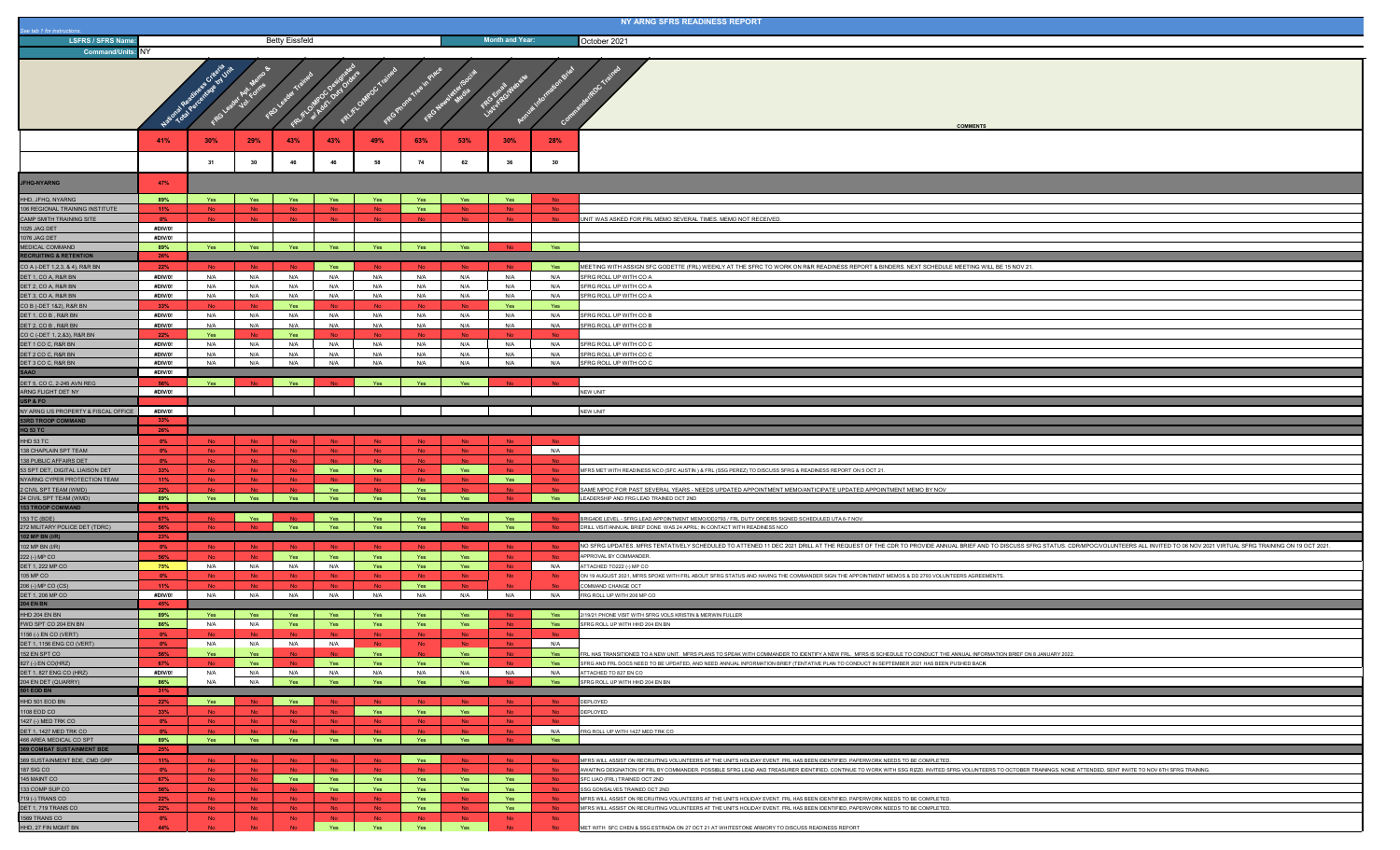| See tab 1 for instructions                                      |                                  |            |                        |                       |                        |                  |                               |                  |                            |                        | NY ARNG SFRS READINESS REPORT                                                                                                                                                                                                 |
|-----------------------------------------------------------------|----------------------------------|------------|------------------------|-----------------------|------------------------|------------------|-------------------------------|------------------|----------------------------|------------------------|-------------------------------------------------------------------------------------------------------------------------------------------------------------------------------------------------------------------------------|
| <b>LSFRS / SFRS Name</b>                                        | <b>Betty Eissfeld</b>            |            |                        |                       |                        |                  |                               |                  | <b>Month and Year:</b>     |                        | October 2021                                                                                                                                                                                                                  |
| <b>Command/Units: NY</b>                                        |                                  |            |                        |                       |                        |                  |                               |                  |                            |                        |                                                                                                                                                                                                                               |
|                                                                 | 55 Griteria Jnit<br>ROLE<br>FROS |            |                        |                       |                        |                  |                               |                  |                            | <b>COMMENTS</b>        |                                                                                                                                                                                                                               |
|                                                                 | 41%                              | 30%        | 29%                    | 43%                   | 43%                    | 49%              | 63%                           | 53%              | 30%                        | 28%                    |                                                                                                                                                                                                                               |
|                                                                 |                                  | 31         | 30                     | 46                    | 46                     | 58               | 74                            | 62               | 36                         | 30                     |                                                                                                                                                                                                                               |
|                                                                 |                                  |            |                        |                       |                        |                  |                               |                  |                            |                        |                                                                                                                                                                                                                               |
| <b>JFHQ-NYARNG</b>                                              | 47%                              |            |                        |                       |                        |                  |                               |                  |                            |                        |                                                                                                                                                                                                                               |
| HHD, JFHQ, NYARNG                                               | 89%                              | Yes        | Yes                    | Yes                   | Yes                    | Yes              | Yes                           | Yes              | Yes                        | - No                   |                                                                                                                                                                                                                               |
| 106 REGIONAL TRAINING INSTITUTE                                 | 11%                              |            | <b>No</b>              | <b>No</b>             | <b>No</b>              | No.              | Yes                           | <b>No</b>        | <b>No</b>                  | <b>No</b>              |                                                                                                                                                                                                                               |
| CAMP SMITH TRAINING SITE<br>1025 JAG DET                        | 0%<br>#DIV/0!                    |            |                        | N <sub>0</sub>        |                        | <b>No</b>        |                               | <b>No</b>        | <b>No</b>                  | <b>No</b>              | UNIT WAS ASKED FOR FRL MEMO SEVERAL TIMES. MEMO NOT RECEIVED.                                                                                                                                                                 |
| 1076 JAG DET                                                    | #DIV/0!                          |            |                        |                       |                        |                  |                               |                  |                            |                        |                                                                                                                                                                                                                               |
| <b>MEDICAL COMMAND</b>                                          | 89%                              | Yes        | Yes                    | Yes                   | Yes                    | Yes              | Yes                           | Yes              | <b>Ala</b>                 | Yes                    |                                                                                                                                                                                                                               |
| <b>RECRUITING &amp; RETENTION</b>                               | 26%                              |            |                        |                       |                        |                  |                               |                  |                            |                        |                                                                                                                                                                                                                               |
| CO A (-DET 1,2,3, & 4), R&R BN<br>DET 1, CO A, R&R BN           | 22%<br>#DIV/0!                   | N/A        | N/A                    | N/A                   | Yes<br>N/A             | N/A              | N/A                           | N/A              | <b>No</b><br>N/A           | Yes<br>N/A             | MEETING WITH ASSIGN SFC GODETTE (FRL) WEEKLY AT THE SFRC TO WORK ON R&R READINESS REPORT & BINDERS. NEXT SCHEDULE MEETING WILL BE 15 NOV 21<br>SFRG ROLL UP WITH CO A                                                         |
| DET 2, CO A, R&R BN                                             | #DIV/0!                          | N/A        | N/A                    | N/A                   | N/A                    | N/A              | N/A                           | N/A              | N/A                        | N/A                    | SFRG ROLL UP WITH CO A                                                                                                                                                                                                        |
| DET 3, CO A, R&R BN                                             | #DIV/0!                          | N/A        | N/A                    | N/A                   | N/A                    | N/A              | N/A                           | N/A              | N/A                        | N/A                    | SFRG ROLL UP WITH CO A                                                                                                                                                                                                        |
| CO B (-DET 1&2), R&R BN                                         | 33%                              |            |                        | Yes                   |                        |                  |                               |                  | Yes                        | Yes                    |                                                                                                                                                                                                                               |
| DET 1, CO B, R&R BN<br>DET 2, CO B, R&R BN                      | #DIV/0!<br>#DIV/0!               | N/A<br>N/A | N/A<br>N/A             | N/A<br>N/A            | N/A<br>N/A             | N/A<br>N/A       | N/A<br>N/A                    | N/A<br>N/A       | N/A<br>N/A                 | N/A<br>N/A             | SFRG ROLL UP WITH CO B<br>SFRG ROLL UP WITH CO B                                                                                                                                                                              |
| CO C (-DET 1, 2,&3), R&R BN                                     | 22%                              | Yes        |                        | Yes                   |                        |                  |                               |                  |                            |                        |                                                                                                                                                                                                                               |
| DET 1 CO C, R&R BN                                              | #DIV/0!                          | N/A        | N/A                    | N/A                   | N/A                    | N/A              | N/A                           | N/A              | N/A                        | N/A                    | SFRG ROLL UP WITH CO C                                                                                                                                                                                                        |
| DET 2 CO C, R&R BN                                              | #DIV/0!                          | N/A        | N/A                    | N/A                   | N/A                    | N/A              | N/A                           | N/A              | N/A                        | N/A                    | SFRG ROLL UP WITH CO C                                                                                                                                                                                                        |
| DET 3 CO C, R&R BN<br>AAO                                       | #DIV/0!<br>#DIV/0!               | N/A        | N/A                    | N/A                   | N/A                    | N/A              | N/A                           | N/A              | N/A                        | N/A                    | SFRG ROLL UP WITH CO C                                                                                                                                                                                                        |
| DET 5, CO C, 2-245 AVN REG                                      | 56%                              | Yes        |                        | Yes                   |                        | Yes              | Yes                           | Yes              | <b>No</b>                  |                        |                                                                                                                                                                                                                               |
| ARNG FLIGHT DET NY                                              | #DIV/0!                          |            |                        |                       |                        |                  |                               |                  |                            |                        | NEW UNIT                                                                                                                                                                                                                      |
| USP & FO                                                        |                                  |            |                        |                       |                        |                  |                               |                  |                            |                        |                                                                                                                                                                                                                               |
| NY ARNG US PROPERTY & FISCAL OFFICE<br><b>3RD TROOP COMMAND</b> | #DIV/0!<br>33%                   |            |                        |                       |                        |                  |                               |                  |                            |                        | NEW UNIT                                                                                                                                                                                                                      |
| <b>HQ 53 TC</b>                                                 |                                  |            |                        |                       |                        |                  |                               |                  |                            |                        |                                                                                                                                                                                                                               |
|                                                                 | 26%                              |            |                        |                       |                        |                  |                               |                  |                            |                        |                                                                                                                                                                                                                               |
| HHD 53 TC                                                       | $0\%$                            |            |                        | <b>No</b>             |                        |                  |                               |                  | <b>No</b>                  |                        |                                                                                                                                                                                                                               |
| 138 CHAPLAIN SPT TEAM                                           | $0\%$                            | <b>No</b>  | No.                    | N <sub>o</sub>        | <b>No</b>              | No.              | <b>No</b>                     | No.              | No.                        | N/A                    |                                                                                                                                                                                                                               |
| 138 PUBLIC AFFAIRS DET                                          | $0\%$                            |            | <b>No</b><br><b>No</b> | <b>No</b>             |                        |                  | - No                          |                  | No<br><b>No</b>            |                        |                                                                                                                                                                                                                               |
| 53 SPT DET, DIGITAL LIAISON DET<br>NYARNG CYPER PROTECTION TEAM | 33%<br>11%                       |            | <b>No</b>              | No.<br>No.            | Yes<br><b>No</b>       | Yes<br><b>No</b> | No<br><b>No</b>               | Yes<br><b>No</b> | Yes                        | <b>No</b><br><b>No</b> | MFRS MET WITH READINESS NCO (SFC AUSTIN) & FRL (SSG PEREZ) TO DISCUSS SFRG & READINESS REPORT ON 5 OCT 21.                                                                                                                    |
| 2 CIVIL SPT TEAM (WMD)                                          | 22%                              |            |                        |                       | Yes                    | No               | Yes                           |                  | <b>No</b>                  |                        | SAME MPOC FOR PAST SEVERAL YEARS - NEEDS UPDATED APPOINTMENT MEMO/ANTICIPATE UPDATED APPOINTMENT MEMO BY NOV                                                                                                                  |
| 24 CIVIL SPT TEAM (WMD)                                         | 89%                              | Yes        | Yes                    | Yes                   | Yes                    | Yes              | Yes                           | Yes              |                            | Yes                    | LEADERSHIP AND FRG LEAD TRAINED OCT 2ND                                                                                                                                                                                       |
| <b>153 TROOP COMMAND</b>                                        | 61%                              |            | Yes                    |                       | Yes                    | Yes              | Yes                           | Yes              | Yes                        |                        |                                                                                                                                                                                                                               |
| 153 TC (BDE)<br>272 MILITARY POLICE DET (TDRC)                  | 67%<br>56%                       |            |                        | Yes                   | Yes                    | Yes              | Yes                           |                  | Yes                        |                        | BRIGADE LEVEL - SFRG LEAD APPOINTMENT MEMO/DD2793 / FRL DUTY ORDERS SIGNED SCHEDULED UTA 6-7 NOV.<br>DRILL VISIT/ANNUAL BRIEF DONE WAS 24 APRIL: IN CONTACT WITH READINESS NCO                                                |
| 102 MP BN (I/R)                                                 | 23%                              |            |                        |                       |                        |                  |                               |                  |                            |                        |                                                                                                                                                                                                                               |
| 102 MP BN (I/R)                                                 | $0\%$                            | No         | <b>No</b>              |                       |                        |                  | Yes                           |                  | No                         | <b>No</b>              | NO SFRG UPDATES. MFRS TENTATIVELY SCHEDULED TO ATTENED 11 DEC 2021 DRILL AT THE REQUEST OF THE CDR TO PROVIDE ANNUAL BRIEF AND TO DISCUSS SFRG STATUS. CDRMPOC/VOLUNTEERS ALL INVITED TO 06 NOV 2021 VIRTUAL SFRG TRAINING ON |
| 222 (-) MP CO<br>DET 1, 222 MP CO                               | 56%<br>75%                       | N/A        | N/A                    | Yes<br>N/A            | Yes<br>N/A             | Yes<br>Yes       | Yes                           | Yes<br>Yes       | $\mathsf{No}$<br><b>No</b> | N/A                    | APPROVAL BY COMMANDER.<br>ATTACHED TO222 (-) MP CO                                                                                                                                                                            |
| 05 MP CO                                                        | 0%                               |            |                        | N <sub>0</sub>        |                        | No               |                               | <b>No</b>        | <b>No</b>                  | No                     | ON 19 AUGUST 2021, MFRS SPOKE WITH FRL ABOUT SFRG STATUS AND HAVING THE COMMANDER SIGN THE APPOINTMENT MEMOS & DD 2793 VOLUNTEERS AGREEMENTS.                                                                                 |
| 206 (-) MP CO (CS)                                              | 11%                              |            |                        | <b>No</b>             |                        | No.              | Yes                           | No               |                            |                        | COMMAND CHANGE OCT                                                                                                                                                                                                            |
| <b>DET 1, 206 MP CC</b><br><b>04 EN BN</b>                      | #DIV/0!<br>45%                   | N/A        | N/A                    | N/A                   | N/A                    | N/A              | N/A                           | N/A              | N/A                        | N/A                    | FRG ROLL UP WITH 206 MP CO                                                                                                                                                                                                    |
| HHD 204 EN BN                                                   | 89%                              |            | Yes                    | Yes                   | Yes                    | Yes              | Yes                           | Yes              |                            | Yes                    | 2/19/21 PHONE VISIT WITH SFRG VOLS KRISTIN & MERWIN FULLER                                                                                                                                                                    |
| FWD SPT CO 204 EN BN                                            | 86%                              | N/A        | N/A                    | Yes                   | Yes                    | Yes              | Yes                           | Yes              | No.                        | Yes                    | SFRG ROLL UP WITH HHD 204 EN BN                                                                                                                                                                                               |
| 1156 (-) EN CO (VERT)                                           | $0\%$                            | No.<br>N/A | No.<br>N/A             | N <sub>0</sub><br>N/A | No.<br>N/A             | <b>No</b>        | <b>No</b><br>- No             | No.              | N <sub>o</sub>             | No.<br>N/A             |                                                                                                                                                                                                                               |
| ET 1, 1156 ENG CO (VERT)<br>152 EN SPT CO                       | 56%                              | Yes        | Yes                    | <b>No</b>             | No.                    | Yes              |                               | Yes              | <b>No</b>                  | Yes                    | FRL HAS TRANSITIONED TO A NEW UNIT. MFRS PLANS TO SPEAK WITH COMMANDER TO IDENTIFY A NEW FRL. MFRS IS SCHEDULE TO CONDUCT THE ANNUAL INFORMATION BRIEF ON 8 JANUARY 2022.                                                     |
| 827 (-) EN CO(HRZ)                                              | 67%                              | No.        | Yes                    | N <sub>0</sub>        | Yes                    | Yes              | Yes                           | Yes              | No.                        | Yes                    | SFRG AND FRL DOCS NEED TO BE UPDATED, AND NEED ANNUAL INFORMATION BRIEF (TENTATIVE PLAN TO CONDUCT IN SEPTEMBER 2021 HAS BEEN PUSHED BACK                                                                                     |
| DET 1, 827 ENG CO (HRZ)                                         | #DIV/0!                          | N/A        | N/A                    | N/A                   | N/A                    | N/A              | N/A                           | N/A              | N/A                        | N/A                    | ATTACHED TO 827 EN CO                                                                                                                                                                                                         |
| 204 EN DET (QUARRY)<br><b>501 EOD BN</b>                        | 86%<br>31%                       | N/A        | N/A                    | Yes                   | Yes                    | Yes              | Yes                           | Yes              |                            | Yes                    | SFRG ROLL UP WITH HHD 204 EN BN                                                                                                                                                                                               |
| HHD 501 EOD BN                                                  | 22%                              | Yes        | <b>No</b>              | Yes                   |                        |                  |                               |                  | - No                       |                        | DEPLOYED                                                                                                                                                                                                                      |
| 1108 EOD CO                                                     | 33%                              |            | <b>No</b>              | <b>No</b>             | <b>No</b>              | Yes              | <b>Present Service Street</b> | Yes              | <b>No</b>                  | <b>No</b>              | DEPLOYED                                                                                                                                                                                                                      |
| 1427 (-) MED TRK CO                                             | $0\%$                            |            | <b>No</b>              | <b>No</b>             | <b>No</b>              |                  |                               |                  | <b>No</b>                  | No.                    |                                                                                                                                                                                                                               |
| DET 1, 1427 MED TRK CO<br>466 AREA MEDICAL CO SPT               | $0\%$<br>89%                     | Yes        | Yes                    | Yes                   | Yes                    | Yes              | Yes                           | Yes              | No.                        | N/A<br>Yes             | FRG ROLL UP WITH 1427 MED TRK CO                                                                                                                                                                                              |
| 369 COMBAT SUSTAINMENT BDE                                      | 25%                              |            |                        |                       |                        |                  |                               |                  |                            |                        |                                                                                                                                                                                                                               |
| 369 SUSTAINMENT BDE, CMD GRP                                    | 11%                              |            |                        | <b>No</b>             |                        |                  | Yes                           |                  | No                         | <b>No</b>              | MFRS WILL ASSIST ON RECRUITING VOLUNTEERS AT THE UNITS HOLIDAY EVENT. FRL HAS BEEN IDENTIFIED, PAPERWORK NEEDS TO BE COMPLETED.                                                                                               |
| 187 SIG CO                                                      | $0\%$                            |            | <b>No</b><br><b>No</b> | N <sub>0</sub>        | <b>No</b>              | No.              | <b>No</b>                     | <b>No</b>        | No.                        | N <sub>0</sub>         | AWAITING DEIGNATION OF FRL BY COMMANDER. POSSIBLE SFRG LEAD AND TREASURER IDENTIFIED. CONTINUE TO WORK WITH SSG RIZZ0. INVITED SFRG VOLUNTEERS TO OCTOBER TRAININGS. NONE ATTENDED. SENT INVITE TO NOV 6TH SFRG TRAINING.     |
| 145 MAINT CO<br>133 COMP SUP CO                                 | 67%<br>56%                       |            | <b>No</b>              | Yes<br><b>No</b>      | Yes<br>Yes             | Yes<br>Yes       | Yes<br>Yes                    | Yes<br>Yes       | Yes<br>Yes                 | No.<br><b>No</b>       | SFC LIAO (FRL) TRAINED OCT 2ND<br>SSG GONSALVES TRAINED OCT 2ND                                                                                                                                                               |
| 719 (-) TRANS CO                                                | 22%                              | No         | <b>No</b>              | No.                   | No.                    | No.              | Yes                           | <b>No</b>        | Yes                        | <b>No</b>              | MFRS WILL ASSIST ON RECRUITING VOLUNTEERS AT THE UNITS HOLIDAY EVENT. FRL HAS BEEN IDENTIFIED, PAPERWORK NEEDS TO BE COMPLETED.                                                                                               |
| DET 1, 719 TRANS CO<br>1569 TRANS CO                            | 22%<br>$0\%$                     | <b>No</b>  | <b>No</b><br><b>No</b> | No.<br>No.            | <b>No</b><br><b>No</b> | No.<br><b>No</b> | Yes<br><b>No</b>              | -No<br><b>N</b>  | Yes<br>No.                 | No.<br><b>No</b>       | MFRS WILL ASSIST ON RECRUITING VOLUNTEERS AT THE UNITS HOLIDAY EVENT. FRL HAS BEEN IDENTIFIED, PAPERWORK NEEDS TO BE COMPLETED.                                                                                               |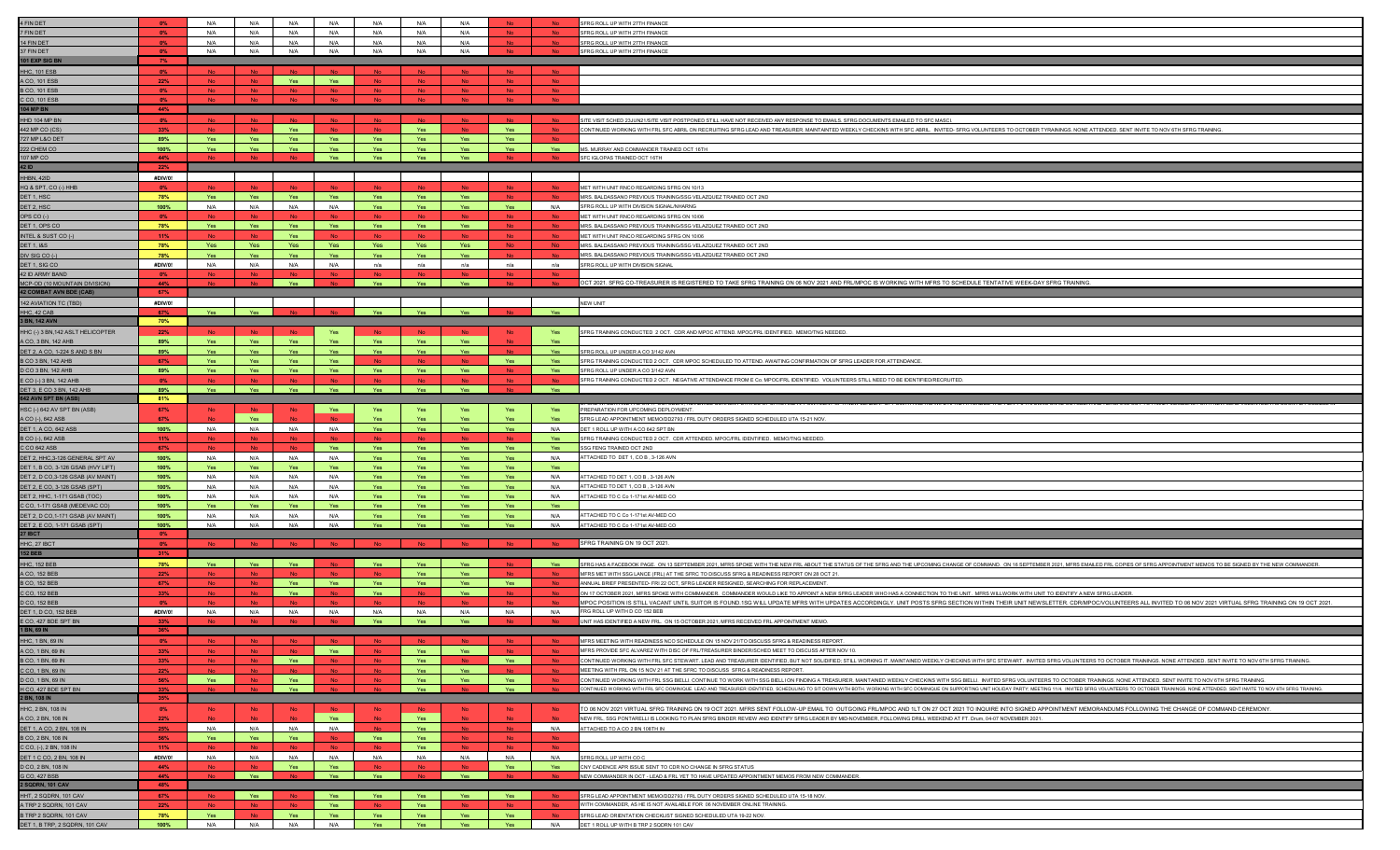| FIN DET                                                      | 0%             | N/A            | N/A        | N/A              | N/A        | N/A        | N/A        | N/A        |            |           |                                                                                                                                                                                                                                                                                                                                                                                                                             |
|--------------------------------------------------------------|----------------|----------------|------------|------------------|------------|------------|------------|------------|------------|-----------|-----------------------------------------------------------------------------------------------------------------------------------------------------------------------------------------------------------------------------------------------------------------------------------------------------------------------------------------------------------------------------------------------------------------------------|
|                                                              |                |                |            |                  |            |            |            |            |            |           | SFRG ROLL UP WITH 27TH FINANCE                                                                                                                                                                                                                                                                                                                                                                                              |
| FIN DET                                                      | 0%             | N/A            | N/A        | N/A              | N/A        | N/A        | N/A        | N/A        |            |           | SFRG ROLL UP WITH 27TH FINANCE                                                                                                                                                                                                                                                                                                                                                                                              |
| 4 FIN DET                                                    | $0\%$          | N/A            | N/A        | N/A              | N/A        | N/A        | N/A        | N/A        | No.        | <b>No</b> | SFRG ROLL UP WITH 27TH FINANCE                                                                                                                                                                                                                                                                                                                                                                                              |
| <b>FINDET</b>                                                |                | N/A            | N/A        | N/A              | N/A        | N/A        | N/A        | N/A        |            |           | SFRG ROLL UP WITH 27TH FINANCE                                                                                                                                                                                                                                                                                                                                                                                              |
| 101 EXP SIG BN                                               | 7%             |                |            |                  |            |            |            |            |            |           |                                                                                                                                                                                                                                                                                                                                                                                                                             |
| IHC, 101 ESB                                                 | $0\%$          |                |            |                  |            |            |            |            | <b>No</b>  | <b>No</b> |                                                                                                                                                                                                                                                                                                                                                                                                                             |
| CO, 101 ESB                                                  | 22%            |                | <b>No</b>  | Yes              | Yes        |            | No         |            | <b>No</b>  | <b>No</b> |                                                                                                                                                                                                                                                                                                                                                                                                                             |
| 3 CO, 101 ESB                                                | $0\%$          |                |            |                  |            |            | No         |            | <b>No</b>  |           |                                                                                                                                                                                                                                                                                                                                                                                                                             |
| CO, 101 ESI                                                  |                |                |            |                  |            |            |            |            |            |           |                                                                                                                                                                                                                                                                                                                                                                                                                             |
| 04 MP BN                                                     | 44%            |                |            |                  |            |            |            |            |            |           |                                                                                                                                                                                                                                                                                                                                                                                                                             |
|                                                              |                |                |            |                  |            |            |            |            |            |           |                                                                                                                                                                                                                                                                                                                                                                                                                             |
| <b>IHD 104 MP BN</b>                                         | 0%             |                |            |                  |            |            |            |            |            |           | SITE VISIT SCHED 23JUN21/SITE VISIT POSTPONED STILL HAVE NOT RECEIVED ANY RESPONSE TO EMAILS. SFRG DOCUMENTS EMAILED TO SFC MASC                                                                                                                                                                                                                                                                                            |
| 42 MP CO (CS)                                                | 33%            | <b>No</b>      | <b>No</b>  | Yes              | <b>No</b>  |            | Yes        | <b>No</b>  | Yes        |           | CONTINUED WORKING WITH FRL SFC ABRIL ON RECRUITING SFRG LEAD AND TREASURER. MAINTAINTED WEEKLY CHECKINS WITH SFC ABRIL. INVITED-SFRG VOLUNTEERS TO OCTOBER TYRAININGS. NONE ATTENDED. SENT INVITE TO NOV 6TH SFRG TRAINING.                                                                                                                                                                                                 |
| 27 MP L&O DET                                                | 89%            | Yes            | Yes        | Yes              | Yes        | Yes        | Yes        | Yes        | Yes        |           |                                                                                                                                                                                                                                                                                                                                                                                                                             |
| 22 CHEM CO                                                   | 100%           | Yes            | Yes        | Yes              | Yes        | Yes        | Yes        | Yes        | Yes        | Yes       | MS. MURRAY AND COMMANDER TRAINED OCT 16TH                                                                                                                                                                                                                                                                                                                                                                                   |
| 07 MP CO                                                     | 44%            |                |            |                  | Yes        | Yes        | Yes        | Yes        |            |           | SFC IGLOPAS TRAINED OCT 16TH                                                                                                                                                                                                                                                                                                                                                                                                |
| 2 ID                                                         | 22%            |                |            |                  |            |            |            |            |            |           |                                                                                                                                                                                                                                                                                                                                                                                                                             |
| HBN, 42ID                                                    | #DIV/0!        |                |            |                  |            |            |            |            |            |           |                                                                                                                                                                                                                                                                                                                                                                                                                             |
| HQ & SPT, CO (-) HHB                                         | 0%             |                |            |                  |            |            |            |            | <b>No</b>  |           | MET WITH UNIT RNCO REGARDING SFRG ON 10/13                                                                                                                                                                                                                                                                                                                                                                                  |
| ET 1, HSC                                                    | 78%            | Yes            | Yes        | Yes              | Yes        | Yes        | Yes        | Yes        | No.        |           | MRS. BALDASSANO PREVIOUS TRAINING/SSG VELAZQUEZ TRAINED OCT 2ND                                                                                                                                                                                                                                                                                                                                                             |
| ET 2, HSC                                                    | 100%           | N/A            | N/A        | N/A              | N/A        | Yes        | Yes        | Yes        | Yes        | N/A       | SFRG ROLL UP WITH DIVISION SIGNAL/NHARNG                                                                                                                                                                                                                                                                                                                                                                                    |
| DPS CO (-)                                                   | 0%             | <b>No</b>      |            | <b>No</b>        | <b>No</b>  |            | <b>No</b>  | <b>No</b>  | <b>No</b>  |           | MET WITH UNIT RNCO REGARDING SFRG ON 10/06                                                                                                                                                                                                                                                                                                                                                                                  |
| ET 1, OPS CO                                                 | 78%            | Yes            | Yes        | Yes              | Yes        | Yes        | Yes        | Yes        | <b>No</b>  |           | MRS. BALDASSANO PREVIOUS TRAINING/SSG VELAZQUEZ TRAINED OCT 2ND                                                                                                                                                                                                                                                                                                                                                             |
| <b>INTEL &amp; SUST CO (-</b>                                | 11%            | - No           | <b>No</b>  | Yes              | - No       |            | <b>No</b>  | - No       | <b>No</b>  |           | MET WITH UNIT RNCO REGARDING SFRG ON 10/06                                                                                                                                                                                                                                                                                                                                                                                  |
| <b>DET 1, 1&amp;S</b>                                        | 78%            | Yes            | Yes        | Yes              | Yes        | Yes        | Yes        | Yes        | No.        | - No      | MRS. BALDASSANO PREVIOUS TRAINING/SSG VELAZQUEZ TRAINED OCT 2ND                                                                                                                                                                                                                                                                                                                                                             |
|                                                              |                |                |            |                  |            |            |            |            |            |           |                                                                                                                                                                                                                                                                                                                                                                                                                             |
| IV SIG CO (-)                                                | 78%            |                | Yes        | Yes              | Yes        |            | Yes        |            |            |           | MRS. BALDASSANO PREVIOUS TRAINING/SSG VELAZQUEZ TRAINED OCT 2ND                                                                                                                                                                                                                                                                                                                                                             |
| DET 1, SIG CO                                                | #DIV/0!        | N/A            | N/A        | N/A              | N/A        | n/a        | n/a        | n/a        | n/a        | n/a       | SFRG ROLL UP WITH DIVISION SIGNAL                                                                                                                                                                                                                                                                                                                                                                                           |
| <b>2 ID ARMY BAND</b>                                        | $0\%$<br>44%   |                |            | <b>No</b><br>Yes |            | Yes        | Yes        | Yes        |            |           | OCT 2021. SFRG CO-TREASURER IS REGISTERED TO TAKE SFRG TRAINING ON 06 NOV 2021 AND FRL/MPOC IS WORKING WITH MFRS TO SCHEDULE TENTATIVE WEEK-DAY SFRG TRAINING.                                                                                                                                                                                                                                                              |
| MCP-OD (10 MOUNTAIN DIVISION<br><b>42 COMBAT AVN BDE (CA</b> | 67%            |                |            |                  |            |            |            |            |            |           |                                                                                                                                                                                                                                                                                                                                                                                                                             |
|                                                              |                |                |            |                  |            |            |            |            |            |           |                                                                                                                                                                                                                                                                                                                                                                                                                             |
| 42 AVIATION TC (T                                            | #DIV/0!        |                |            |                  |            |            |            |            |            |           | <b>NEW UNIT</b>                                                                                                                                                                                                                                                                                                                                                                                                             |
| HC, 42 CAB                                                   | 67%            | Yes            | Yes        |                  |            | Yes        | Yes        | Yes        |            | Yes       |                                                                                                                                                                                                                                                                                                                                                                                                                             |
| <b>BN, 142 AVN</b>                                           | 70%            |                |            |                  |            |            |            |            |            |           |                                                                                                                                                                                                                                                                                                                                                                                                                             |
| HHC (-) 3 BN,142 ASLT HELICOPTER                             | 22%            | - No           |            |                  | Yes        |            | - No       | – Nc       | <b>No</b>  | Yes       | SFRG TRAINING CONDUCTED 2 OCT. CDR AND MPOC ATTEND. MPOC/FRL IDENTIFIED. MEMO/TNG NEEDED.                                                                                                                                                                                                                                                                                                                                   |
| A CO, 3 BN, 142 AHB                                          | 89%            | Yes            | Yes        | Yes              | Yes        | Yes        | Yes        | Yes        |            |           |                                                                                                                                                                                                                                                                                                                                                                                                                             |
| DET 2, A CO, 1-224 S AND S BN                                | 89%            | Yes            | Yes        | Yes              | Yes        | Yes        | Yes        | Yes        |            | Yes       | SFRG ROLL UP UNDER A CO 3/142 AVN                                                                                                                                                                                                                                                                                                                                                                                           |
| B CO 3 BN, 142 AHB                                           | 67%            | Yes            | Yes        | Yes              | Yes        |            | <b>No</b>  | <b>No</b>  | Yes        | Yes       | SFRG TRAINING CONDUCTED 2 OCT. CDR MPOC SCHEDULED TO ATTEND. AWAITING CONFIRMATION OF SFRG LEADER FOR ATTENDANCE                                                                                                                                                                                                                                                                                                            |
| CO 3 BN, 142 AHB                                             | 89%            | Yes            | Yes        | Yes              | Yes        | Yes        | Yes        | Yes        | <b>No</b>  | Yes       | SFRG ROLL UP UNDER A CO 3/142 AVN                                                                                                                                                                                                                                                                                                                                                                                           |
| CO (-) 3 BN, 142 AHB                                         |                |                |            |                  |            |            |            |            |            |           | SFRG TRAINING CONDUCTED 2 OCT. NEGATIVE ATTENDANCE FROM E Co. MPOC/FRL IDENTIFIED. VOLUNTEERS STILL NEED TO BE IDENTIFIED/RECRUITED.                                                                                                                                                                                                                                                                                        |
| <b>JET 3, E CO 3 BN, 142 AHE</b>                             | 89%            | Yes            | Yes        | Yes              | Yes        | Yes        | Yes        | Yes        |            | Yes       |                                                                                                                                                                                                                                                                                                                                                                                                                             |
| 642 AVN SPT BN (ASB)                                         | 81%            |                |            |                  |            |            |            |            |            |           |                                                                                                                                                                                                                                                                                                                                                                                                                             |
| HSC (-) 642 AV SPT BN (ASB)                                  | 67%            | <b>No</b>      |            | No               | Yes        | Yes        | Yes        | Yes        | Yes        | Yes       | PREPARATION FOR UPCOMING DEPLOYMENT                                                                                                                                                                                                                                                                                                                                                                                         |
| A CO (-), 642 ASB                                            | 67%            |                | Yes        |                  |            |            | <b>Yes</b> | Yes        | <b>Yes</b> | Yes       | SFRG LEAD APPOINTMENT MEMO/DD2793 / FRL DUTY ORDERS SIGNED SCHEDULED UTA 15-21 NOV.                                                                                                                                                                                                                                                                                                                                         |
| DET 1, A CO, 642 AS                                          | 100%           | N/A            | N/A        | N/A              | N/A        | Yes        | Yes        | Yes        | Yes        | N/A       | DET 1 ROLL UP WITH A CO 642 SPT BN                                                                                                                                                                                                                                                                                                                                                                                          |
| 3 CO (-), 642 ASB                                            | 11%            |                |            |                  |            |            |            |            |            | Yes       | SFRG TRAINING CONDUCTED 2 OCT. CDR ATTENDED. MPOC/FRL IDENTIFIED. MEMO/TNG NEEDED.                                                                                                                                                                                                                                                                                                                                          |
| CO 642 ASB                                                   | 67%            |                |            |                  | Yes        | Yes        | Yes        | Yes        | Yes        | Yes       | SSG FENG TRAINED OCT 2ND                                                                                                                                                                                                                                                                                                                                                                                                    |
| DET 2, HHC,3-126 GENERAL SPT AV                              | 100%           | N/A            | N/A        | N/A              | N/A        | Yes        | Yes        | Yes        | Yes        | N/A       | ATTACHED TO DET 1, CO B, 3-126 AVN                                                                                                                                                                                                                                                                                                                                                                                          |
|                                                              |                |                |            |                  |            | Yes        | Yes        | Yes        | Yes        | Yes       |                                                                                                                                                                                                                                                                                                                                                                                                                             |
| DET 1, B CO, 3-126 GSAB (HVY LIFT)                           | 100%           | Yes            | Yes        | Yes              | Yes        |            |            |            |            |           |                                                                                                                                                                                                                                                                                                                                                                                                                             |
| DET 2, D CO,3-126 GSAB (AV MAINT)                            | 100%           | N/A            | N/A        | N/A              | N/A        | <b>Yes</b> | Yes        | Yes        | Yes        | N/A       | ATTACHED TO DET 1, CO B, 3-126 AVN                                                                                                                                                                                                                                                                                                                                                                                          |
| DET 2, E CO, 3-126 GSAB (SPT)                                |                |                |            | N/A              | N/A        |            |            |            |            | N/A       | ATTACHED TO DET 1, CO B, 3-126 AVN                                                                                                                                                                                                                                                                                                                                                                                          |
|                                                              | 100%           | N/A            | N/A        |                  |            | Yes        | Yes        | Yes        | Yes        |           |                                                                                                                                                                                                                                                                                                                                                                                                                             |
| DET 2, HHC, 1-171 GSAB (TOC                                  | 100%           | N/A            | N/A        | N/A              | N/A        |            | Yes        | Ye         | Yes        | N/A       | ATTACHED TO C Co 1-171st AV-MED CO                                                                                                                                                                                                                                                                                                                                                                                          |
| C CO, 1-171 GSAB (MEDEVAC CO)                                | 100%           | Yes            | <b>Yes</b> | Yes              | Yes        | Yes        | <b>Yes</b> | Yes        | Yes        | Yes       |                                                                                                                                                                                                                                                                                                                                                                                                                             |
| DET 2, D CO, 1-171 GSAB (AV MAINT)                           | 100%           | N/A            | N/A        | N/A              | N/A        | Yes        | Yes        | Yes        | Yes        | N/A       | ATTACHED TO C Co 1-171st AV-MED CO                                                                                                                                                                                                                                                                                                                                                                                          |
| DET 2, E CO, 1-171 GSAB (SPT                                 | 100%           | N/A            | N/A        | N/A              | N/A        |            | Yes        |            | Yes        | N/A       | ATTACHED TO C Co 1-171st AV-MED CO                                                                                                                                                                                                                                                                                                                                                                                          |
| 7 IBCT                                                       | $0\%$          |                |            |                  |            |            |            |            |            |           |                                                                                                                                                                                                                                                                                                                                                                                                                             |
| HHC, 27 IBCT                                                 |                |                |            |                  |            |            |            |            |            |           | SFRG TRAINING ON 19 OCT 2021.                                                                                                                                                                                                                                                                                                                                                                                               |
| 52 BEB                                                       | 31%            |                |            |                  |            |            |            |            |            |           |                                                                                                                                                                                                                                                                                                                                                                                                                             |
| <b>HC, 152 BEB</b>                                           | 78%            | Yes            | Yes        | Yes              |            | Yes        | Yes        | Yes        |            | Yes       | SFRG HAS A FACEBOOK PAGE. ON 13 SEPTEMBER 2021, MFRS SPOKE WITH THE NEW FRL ABOUT THE STATUS OF THE SFRG AND THE UPCOMING CHANGE OF COMMAND. ON 16 SEPTEMBER 2021, MFRS EMAILED FRL COPIES OF SFRG APPOINTMENT MEMOS TO BE SIG                                                                                                                                                                                              |
| CO, 152 BEB                                                  | 22%            |                | <b>No</b>  | - No             | - No       |            | Yes        | Yes        | No.        |           | MFRS MET WITH SSG LANCE (FRL) AT THE SFRC TO DISCUSS SFRG & READINESS REPORT ON 28 OCT 21.                                                                                                                                                                                                                                                                                                                                  |
| CO, 152 BEB                                                  | 67%            |                |            | Yes              | Yes        | Yes        | Yes        | Yes        | Yes        |           | ANNUAL BRIEF PRESENTED- FRI 22 OCT, SFRG LEADER RESIGNED, SEARCHING FOR REPLACEMENT                                                                                                                                                                                                                                                                                                                                         |
|                                                              |                |                |            |                  |            | Yes        |            | Yes        |            |           |                                                                                                                                                                                                                                                                                                                                                                                                                             |
| CO, 152 BEB                                                  | 33%<br>- 0%    |                |            | Yes              |            |            |            |            | No         |           | ON 17 OCTOBER 2021, MFRS SPOKE WITH COMMANDER. COMMANDER WOULD LIKE TO APPOINT A NEW SFRG LEADER WHO HAS A CONNECTION TO THE UNIT. MFRS WILLWORK WITH UNIT TO IDENTIFY A NEW SFRG LEADER.<br>MPOC POSITION IS STILL VACANT UNTIL SUITOR IS FOUND.1SG WILL UPDATE MFRS WITH UPDATES ACCORDINGLY. UNIT POSTS SFRG SECTION WITHIN THEIR UNIT NEWSLETTER. CDRMPOC/VOLUNTEERS ALL INVITED TO 06 NOV 2021 VIRTUAL SFRG TRAINING O |
| ) CO, 152 BEB                                                |                |                |            |                  |            |            |            |            |            |           | FRG ROLL UP WITH D CO 152 BEB                                                                                                                                                                                                                                                                                                                                                                                               |
| DET 1, D CO, 152 BEE                                         | #DIV/0!<br>33% | N/A            | N/A        | N/A              | N/A        | N/A<br>Yes | N/A<br>Yes | N/A<br>Yes | N/A        | N/A       |                                                                                                                                                                                                                                                                                                                                                                                                                             |
| CO, 427 BDE SPT BN                                           |                |                |            |                  |            |            |            |            |            |           | UNIT HAS IDENTIFIED A NEW FRL. ON 15 OCTOBER 2021, MFRS RECEIVED FRL APPOINTMENT MEMO.                                                                                                                                                                                                                                                                                                                                      |
| <b>BN, 69 IN</b>                                             |                |                |            |                  |            |            |            |            |            |           |                                                                                                                                                                                                                                                                                                                                                                                                                             |
|                                                              | $0\%$          |                |            |                  |            |            |            |            |            |           | MFRS MEETING WITH READINESS NCO SCHEDULE ON 15 NOV 21/TO DISCUSS SFRG & READINESS REPORT                                                                                                                                                                                                                                                                                                                                    |
| A CO, 1 BN, 69 IN                                            | 33%            |                |            | N <sub>0</sub>   | Yes        |            | Yes        | Yes        | No.        |           | MFRS PROVIDE SFC ALVAREZ WITH DISC OF FRL/TREASURER BINDER/SCHED MEET TO DISCUSS AFTER NOV 10                                                                                                                                                                                                                                                                                                                               |
| HHC, 1 BN, 69 IN<br>B CO, 1 BN, 69 IN                        | 33%            | <b>No</b>      | <b>No</b>  | Yes              |            | <b>No</b>  | Yes        | <b>No</b>  | Yes        | <b>No</b> | CONTINUED WORKING WITH FRL SFC STEWART. LEAD AND TREASURER IDENTIFIED, BUT NOT SOLIDIFIED: STILL WORKING IT. MAINTAINED WEEKLY CHECKINS WITH SFC STEWART. INVITED SFRG VOLUNTEERS TO OCTOBER TRAININGS, NONE ATTENDED, SENT IN                                                                                                                                                                                              |
| C CO, 1 BN, 69 IN                                            | 22%            |                | <b>No</b>  | <b>No</b>        |            |            | Yes        | Yes        | No.        | <b>No</b> | MEETING WITH FRI, ON 15 NOV 21 AT THE SERC TO DISCUSS. SERG & READINESS REPORT                                                                                                                                                                                                                                                                                                                                              |
| CO, 1 BN, 69 IN                                              | 56%            | Yes            | <b>No</b>  | Yes              | <b>No</b>  | <b>No</b>  | Yes        | Yes        | Yes        |           | CONTINUED WORKING WITH FRL SSG BIELLI. CONTINUE TO WORK WITH SSG BIELLI ON FINDING A TREASURER. MAINTAINED WEEKLY CHECKINS WITH SSG BIELLI. INVITED SFRG VOLUNTEERS TO OCTOBER TRAININGS. NONE ATTENDED. SENT INVITE TO NOV 6T                                                                                                                                                                                              |
| H CO, 427 BDE SPT BN                                         | 33%            |                |            | Yes              |            |            | Yes        |            | Yes        |           | CONTINUED WORKING WITH FRL SFC DOMINIQUE. LEAD AND TREASURER IDENTIFIED. SCHEDULING TO SIT DOWN WITH BOTH, WORKING WITH SFC DOMINIQUE ON SUPPORTING UNIT HOLIDAY PARTY: MEETING 11/4. INVITED SFRG VOLUNTEERS TO OCTOBER TRAIN                                                                                                                                                                                              |
| <b>BN, 108 IN</b>                                            | 35%            |                |            |                  |            |            |            |            |            |           |                                                                                                                                                                                                                                                                                                                                                                                                                             |
| HHC, 2 BN, 108 IN                                            | $0\%$          | <b>No</b>      | <b>No</b>  | No.              | <b>No</b>  | <b>No</b>  | No.        | <b>No</b>  | <b>No</b>  | - No      | TO 06 NOV 2021 VIRTUAL SFRG TRAINING ON 19 OCT 2021. MFRS SENT FOLLOW-UP EMAIL TO OUTGOING FRL/MPOC AND 1LT ON 27 OCT 2021 TO INQUIRE INTO SIGNED APPOINTMENT MEMORANDUMS FOLLOWING THE CHANGE OF COMMAND CEREMONY.                                                                                                                                                                                                         |
| A CO, 2 BN, 108 IN                                           | 22%            |                |            |                  | Yes        |            | Yes        |            | No         |           | NEW FRL, SSG PONTARELLIIS LOOKING TO PLAN SFRG BINDER REVIEW AND IDENTIFY SFRG LEADER BY MID-NOVEMBER, FOLLOWING DRILL WEEKEND AT FT. Drum, 04-07 NOVEMBER 2021.                                                                                                                                                                                                                                                            |
| DET 1, A CO, 2 BN, 108 IN                                    | 25%            | N/A            | N/A        | N/A              | N/A        |            | Yes        | <b>No</b>  | No.        | N/A       | ATTACHED TO A CO 2 BN 108TH IN                                                                                                                                                                                                                                                                                                                                                                                              |
| B CO, 2 BN, 108 IN                                           | 56%            | Yes            | Yes        | Yes              | <b>No</b>  | Yes        | Yes        | <b>No</b>  | <b>No</b>  |           |                                                                                                                                                                                                                                                                                                                                                                                                                             |
| CO, (-), 2 BN, 108 IN                                        | 11%            |                |            |                  |            |            | Yes        |            |            |           |                                                                                                                                                                                                                                                                                                                                                                                                                             |
| DET 1 C CO, 2 BN, 108 IN                                     | #DIV/0!        | N/A            | N/A        | N/A              | N/A        | N/A        | N/A        | N/A        | N/A        | N/A       | SFRG ROLL UP WITH CO C                                                                                                                                                                                                                                                                                                                                                                                                      |
|                                                              | 44%            |                |            | Yes              | Yes        |            |            |            | <b>Yes</b> | Yes       | CNY CADENCE APR ISSUE SENT TO CDR NO CHANGE IN SFRG STATUS                                                                                                                                                                                                                                                                                                                                                                  |
| D CO, 2 BN, 108 IN<br>G CO, 427 BSB                          | 44%            | N <sub>0</sub> | Yes        |                  | Yes        | Yes        | No.        | Yes        | <b>No</b>  |           | NEW COMMANDER IN OCT - LEAD & FRL YET TO HAVE UPDATED APPOINTMENT MEMOS FROM NEW COMMANDER.                                                                                                                                                                                                                                                                                                                                 |
| SQDRN, 101 CAV                                               | 48%            |                |            |                  |            |            |            |            |            |           |                                                                                                                                                                                                                                                                                                                                                                                                                             |
| HHT, 2 SQDRN, 101 CAV                                        | 67%            | - No           | Yes        | <b>No</b>        | Yes        | Yes        | Yes        | Yes        | Yes        |           | SFRG LEAD APPOINTMENT MEMO/DD2793 / FRL DUTY ORDERS SIGNED SCHEDULED UTA 15-18 NOV.                                                                                                                                                                                                                                                                                                                                         |
| TRP 2 SQDRN, 101 CAV                                         | 22%            |                | <b>No</b>  |                  | Yes        |            | Yes        |            | <b>No</b>  |           | WITH COMMANDER, AS HE IS NOT AVAILABLE FOR 06 NOVEMBER ONLINE TRAINING.                                                                                                                                                                                                                                                                                                                                                     |
|                                                              |                |                | No.        |                  |            |            |            |            |            | No.       |                                                                                                                                                                                                                                                                                                                                                                                                                             |
| TRP 2 SQDRN, 101 CAV<br>DET 1, B TRP, 2 SQDRN, 101 CAV       | 78%<br>100%    | Yes<br>N/A     | N/A        | Yes<br>N/A       | Yes<br>N/A | Yes<br>Yes | Yes<br>Yes | Yes<br>Yes | Yes<br>Yes | N/A       | SFRG LEAD ORIENTATION CHECKLIST SIGNED SCHEDULED UTA 19-22 NOV.<br>DET 1 ROLL UP WITH B TRP 2 SQDRN 101 CAV                                                                                                                                                                                                                                                                                                                 |